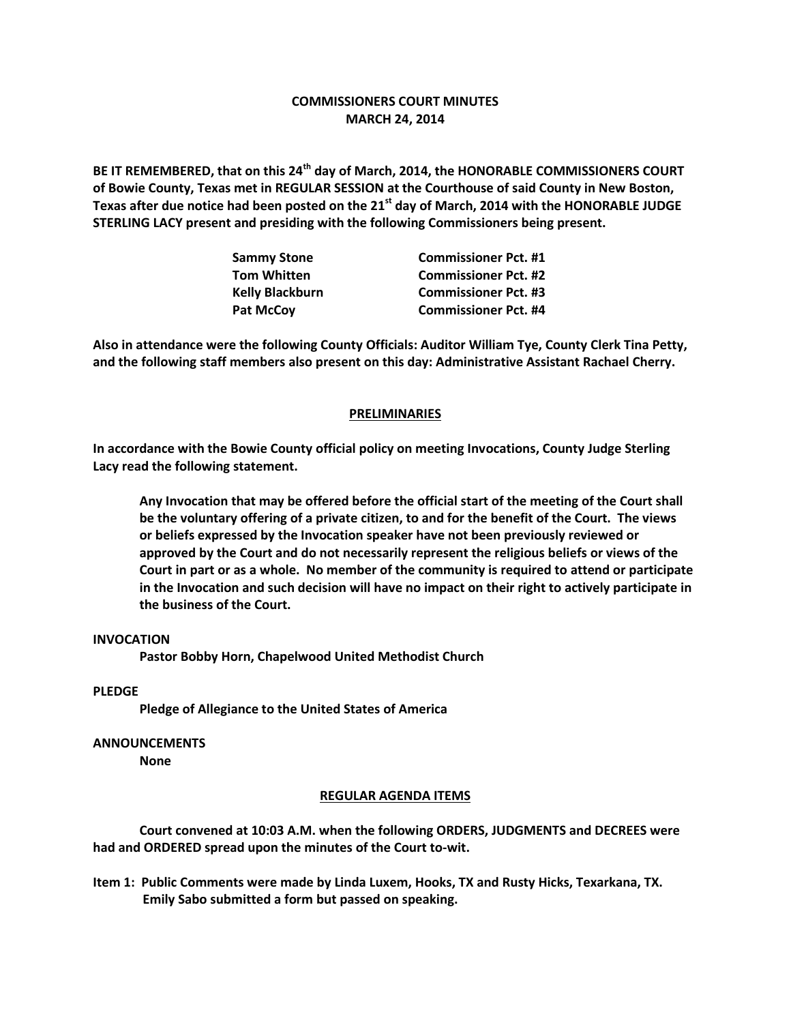# **COMMISSIONERS COURT MINUTES MARCH 24, 2014**

**BE IT REMEMBERED, that on this 24th day of March, 2014, the HONORABLE COMMISSIONERS COURT of Bowie County, Texas met in REGULAR SESSION at the Courthouse of said County in New Boston, Texas after due notice had been posted on the 21st day of March, 2014 with the HONORABLE JUDGE STERLING LACY present and presiding with the following Commissioners being present.**

| <b>Sammy Stone</b>     | <b>Commissioner Pct. #1</b> |
|------------------------|-----------------------------|
| <b>Tom Whitten</b>     | <b>Commissioner Pct. #2</b> |
| <b>Kelly Blackburn</b> | <b>Commissioner Pct. #3</b> |
| <b>Pat McCov</b>       | <b>Commissioner Pct. #4</b> |

**Also in attendance were the following County Officials: Auditor William Tye, County Clerk Tina Petty, and the following staff members also present on this day: Administrative Assistant Rachael Cherry.**

### **PRELIMINARIES**

**In accordance with the Bowie County official policy on meeting Invocations, County Judge Sterling Lacy read the following statement.**

**Any Invocation that may be offered before the official start of the meeting of the Court shall be the voluntary offering of a private citizen, to and for the benefit of the Court. The views or beliefs expressed by the Invocation speaker have not been previously reviewed or approved by the Court and do not necessarily represent the religious beliefs or views of the Court in part or as a whole. No member of the community is required to attend or participate in the Invocation and such decision will have no impact on their right to actively participate in the business of the Court.**

## **INVOCATION**

**Pastor Bobby Horn, Chapelwood United Methodist Church**

### **PLEDGE**

**Pledge of Allegiance to the United States of America**

#### **ANNOUNCEMENTS**

**None**

#### **REGULAR AGENDA ITEMS**

**Court convened at 10:03 A.M. when the following ORDERS, JUDGMENTS and DECREES were had and ORDERED spread upon the minutes of the Court to-wit.**

**Item 1: Public Comments were made by Linda Luxem, Hooks, TX and Rusty Hicks, Texarkana, TX. Emily Sabo submitted a form but passed on speaking.**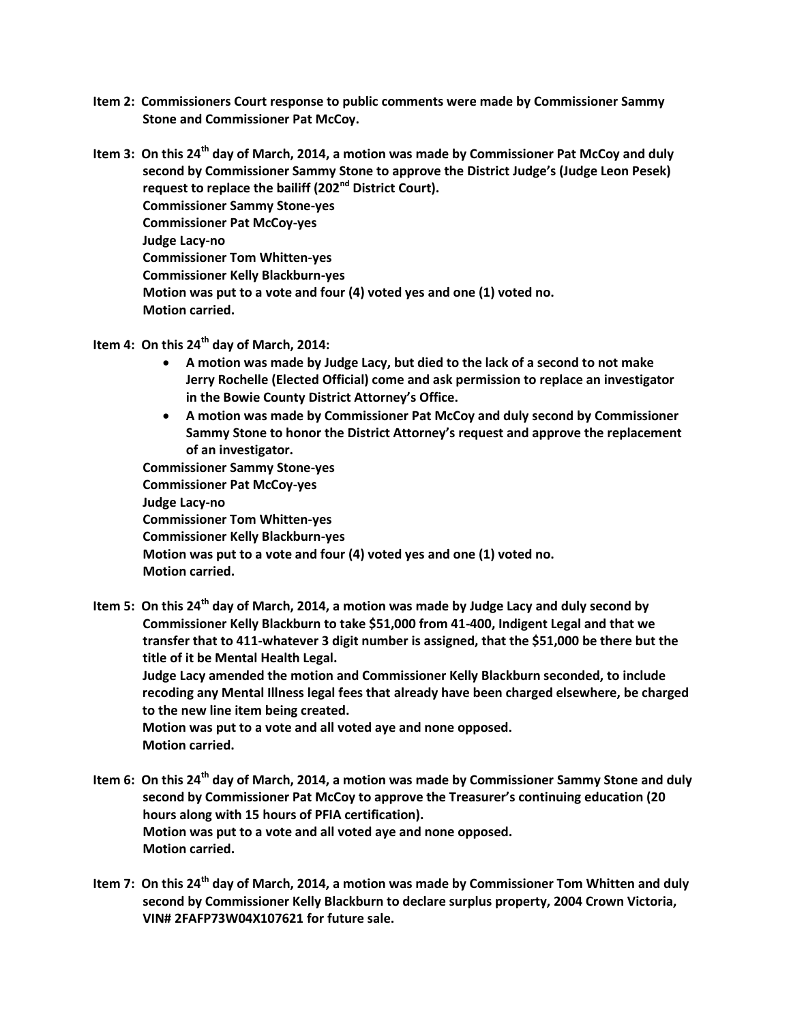**Item 2: Commissioners Court response to public comments were made by Commissioner Sammy Stone and Commissioner Pat McCoy.**

**Item 3: On this 24th day of March, 2014, a motion was made by Commissioner Pat McCoy and duly second by Commissioner Sammy Stone to approve the District Judge's (Judge Leon Pesek) request to replace the bailiff (202nd District Court). Commissioner Sammy Stone-yes Commissioner Pat McCoy-yes Judge Lacy-no Commissioner Tom Whitten-yes Commissioner Kelly Blackburn-yes Motion was put to a vote and four (4) voted yes and one (1) voted no. Motion carried.**

- **Item 4: On this 24th day of March, 2014:**
	- **A motion was made by Judge Lacy, but died to the lack of a second to not make Jerry Rochelle (Elected Official) come and ask permission to replace an investigator in the Bowie County District Attorney's Office.**
	- **A motion was made by Commissioner Pat McCoy and duly second by Commissioner Sammy Stone to honor the District Attorney's request and approve the replacement of an investigator.**

 **Commissioner Sammy Stone-yes Commissioner Pat McCoy-yes Judge Lacy-no Commissioner Tom Whitten-yes Commissioner Kelly Blackburn-yes Motion was put to a vote and four (4) voted yes and one (1) voted no. Motion carried.**

**Item 5: On this 24th day of March, 2014, a motion was made by Judge Lacy and duly second by Commissioner Kelly Blackburn to take \$51,000 from 41-400, Indigent Legal and that we transfer that to 411-whatever 3 digit number is assigned, that the \$51,000 be there but the title of it be Mental Health Legal.**

**Judge Lacy amended the motion and Commissioner Kelly Blackburn seconded, to include recoding any Mental Illness legal fees that already have been charged elsewhere, be charged to the new line item being created.**

**Motion was put to a vote and all voted aye and none opposed. Motion carried.**

- **Item 6: On this 24th day of March, 2014, a motion was made by Commissioner Sammy Stone and duly second by Commissioner Pat McCoy to approve the Treasurer's continuing education (20 hours along with 15 hours of PFIA certification). Motion was put to a vote and all voted aye and none opposed. Motion carried.**
- **Item 7: On this 24th day of March, 2014, a motion was made by Commissioner Tom Whitten and duly second by Commissioner Kelly Blackburn to declare surplus property, 2004 Crown Victoria, VIN# 2FAFP73W04X107621 for future sale.**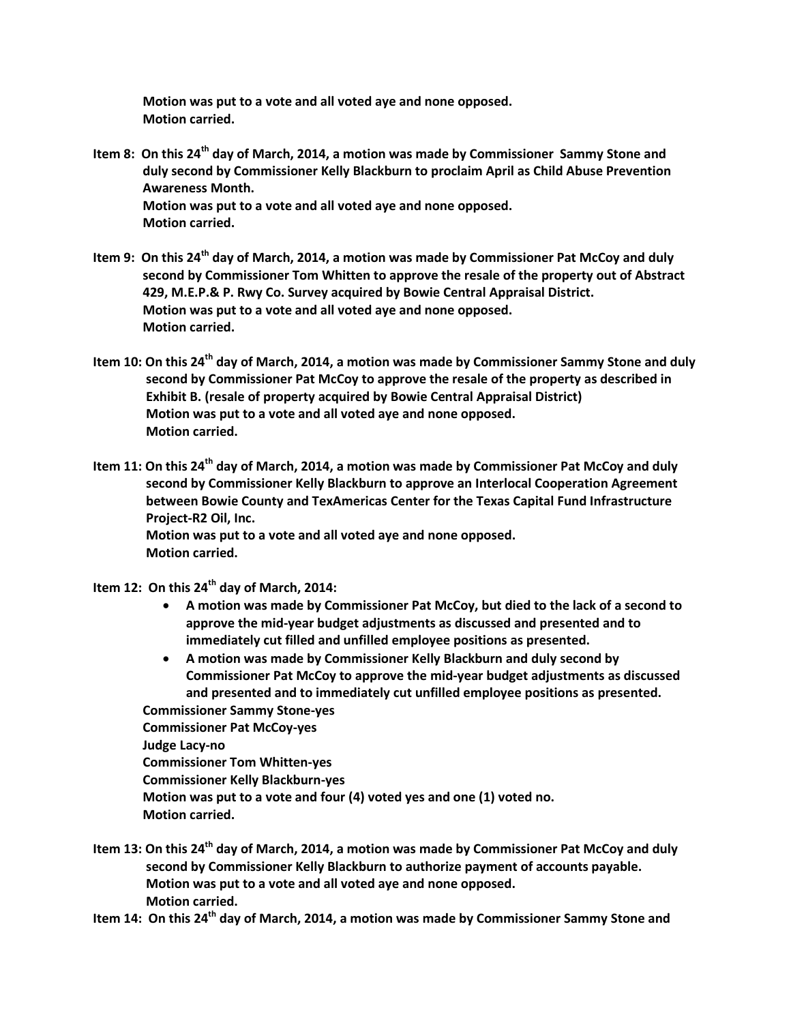**Motion was put to a vote and all voted aye and none opposed. Motion carried.**

- **Item 8: On this 24th day of March, 2014, a motion was made by Commissioner Sammy Stone and duly second by Commissioner Kelly Blackburn to proclaim April as Child Abuse Prevention Awareness Month. Motion was put to a vote and all voted aye and none opposed. Motion carried.**
- **Item 9: On this 24th day of March, 2014, a motion was made by Commissioner Pat McCoy and duly second by Commissioner Tom Whitten to approve the resale of the property out of Abstract 429, M.E.P.& P. Rwy Co. Survey acquired by Bowie Central Appraisal District. Motion was put to a vote and all voted aye and none opposed. Motion carried.**
- **Item 10: On this 24th day of March, 2014, a motion was made by Commissioner Sammy Stone and duly second by Commissioner Pat McCoy to approve the resale of the property as described in Exhibit B. (resale of property acquired by Bowie Central Appraisal District) Motion was put to a vote and all voted aye and none opposed. Motion carried.**
- **Item 11: On this 24th day of March, 2014, a motion was made by Commissioner Pat McCoy and duly second by Commissioner Kelly Blackburn to approve an Interlocal Cooperation Agreement between Bowie County and TexAmericas Center for the Texas Capital Fund Infrastructure Project-R2 Oil, Inc. Motion was put to a vote and all voted aye and none opposed. Motion carried.**
- **Item 12: On this 24th day of March, 2014:**
	- **A motion was made by Commissioner Pat McCoy, but died to the lack of a second to approve the mid-year budget adjustments as discussed and presented and to immediately cut filled and unfilled employee positions as presented.**
	- **A motion was made by Commissioner Kelly Blackburn and duly second by Commissioner Pat McCoy to approve the mid-year budget adjustments as discussed and presented and to immediately cut unfilled employee positions as presented.**
	- **Commissioner Sammy Stone-yes Commissioner Pat McCoy-yes Judge Lacy-no Commissioner Tom Whitten-yes Commissioner Kelly Blackburn-yes Motion was put to a vote and four (4) voted yes and one (1) voted no. Motion carried.**
- **Item 13: On this 24th day of March, 2014, a motion was made by Commissioner Pat McCoy and duly second by Commissioner Kelly Blackburn to authorize payment of accounts payable. Motion was put to a vote and all voted aye and none opposed. Motion carried.**
- **Item 14: On this 24th day of March, 2014, a motion was made by Commissioner Sammy Stone and**